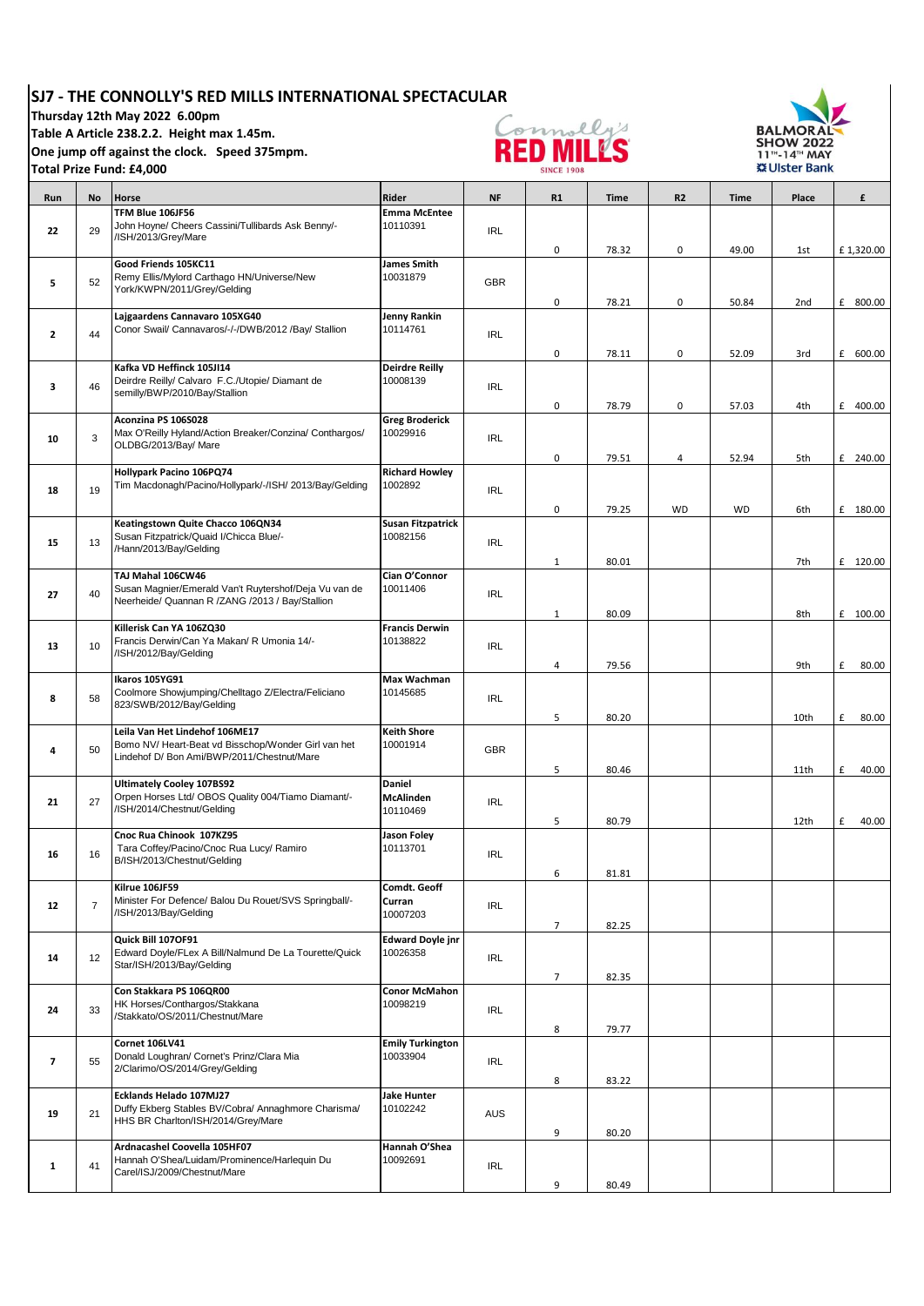## **SJ7 - THE CONNOLLY'S RED MILLS INTERNATIONAL SPECTACULAR**

**Thursday 12th May 2022 6.00pm** 

**Table A Article 238.2.2. Height max 1.45m.** 

**One jump off against the clock. Speed 375mpm.** 

**Total Prize Fund: £4,000** 

T



T

┓

т



| Run                      | No             | Horse                                                                                                      | Rider                             | <b>NF</b>  | R1             | <b>Time</b> | <b>R2</b>      | <b>Time</b> | Place | £          |
|--------------------------|----------------|------------------------------------------------------------------------------------------------------------|-----------------------------------|------------|----------------|-------------|----------------|-------------|-------|------------|
|                          |                | TFM Blue 106JF56                                                                                           | <b>Emma McEntee</b>               |            |                |             |                |             |       |            |
| 22                       | 29             | John Hoyne/ Cheers Cassini/Tullibards Ask Benny/-                                                          | 10110391                          | <b>IRL</b> |                |             |                |             |       |            |
|                          |                | /ISH/2013/Grey/Mare                                                                                        |                                   |            | 0              | 78.32       | 0              | 49.00       | 1st   | £1,320.00  |
|                          |                | Good Friends 105KC11                                                                                       | James Smith                       |            |                |             |                |             |       |            |
|                          |                | Remy Ellis/Mylord Carthago HN/Universe/New                                                                 | 10031879                          |            |                |             |                |             |       |            |
| 5                        | 52             | York/KWPN/2011/Grey/Gelding                                                                                |                                   | <b>GBR</b> |                |             |                |             |       |            |
|                          |                |                                                                                                            |                                   |            | 0              | 78.21       | 0              | 50.84       | 2nd   | £ 800.00   |
|                          |                | Lajgaardens Cannavaro 105XG40                                                                              | Jenny Rankin                      |            |                |             |                |             |       |            |
| $\mathbf{2}$             | 44             | Conor Swail/ Cannavaros/-/-/DWB/2012 /Bay/ Stallion                                                        | 10114761                          | <b>IRL</b> |                |             |                |             |       |            |
|                          |                |                                                                                                            |                                   |            | 0              | 78.11       | 0              | 52.09       | 3rd   | £ 600.00   |
|                          |                | Kafka VD Heffinck 105JI14                                                                                  | <b>Deirdre Reilly</b>             |            |                |             |                |             |       |            |
| 3                        | 46             | Deirdre Reilly/ Calvaro F.C./Utopie/ Diamant de                                                            | 10008139                          | <b>IRL</b> |                |             |                |             |       |            |
|                          |                | semilly/BWP/2010/Bay/Stallion                                                                              |                                   |            |                |             |                |             |       |            |
|                          |                |                                                                                                            |                                   |            | 0              | 78.79       | 0              | 57.03       | 4th   | £ 400.00   |
|                          |                | Aconzina PS 106S028<br>Max O'Reilly Hyland/Action Breaker/Conzina/ Conthargos/                             | <b>Greg Broderick</b><br>10029916 |            |                |             |                |             |       |            |
| 10                       | 3              | OLDBG/2013/Bay/ Mare                                                                                       |                                   | <b>IRL</b> |                |             |                |             |       |            |
|                          |                |                                                                                                            |                                   |            | 0              | 79.51       | $\overline{4}$ | 52.94       | 5th   | £ 240.00   |
|                          |                | Hollypark Pacino 106PQ74                                                                                   | <b>Richard Howley</b>             |            |                |             |                |             |       |            |
| 18                       | 19             | Tim Macdonagh/Pacino/Hollypark/-/ISH/ 2013/Bay/Gelding                                                     | 1002892                           | <b>IRL</b> |                |             |                |             |       |            |
|                          |                |                                                                                                            |                                   |            | 0              | 79.25       | <b>WD</b>      | <b>WD</b>   | 6th   | £ 180.00   |
|                          |                | Keatingstown Quite Chacco 106QN34                                                                          | <b>Susan Fitzpatrick</b>          |            |                |             |                |             |       |            |
| 15                       | 13             | Susan Fitzpatrick/Quaid I/Chicca Blue/-                                                                    | 10082156                          | <b>IRL</b> |                |             |                |             |       |            |
|                          |                | /Hann/2013/Bay/Gelding                                                                                     |                                   |            |                |             |                |             |       |            |
|                          |                |                                                                                                            |                                   |            | 1              | 80.01       |                |             | 7th   | £ 120.00   |
|                          |                | TAJ Mahal 106CW46                                                                                          | Cian O'Connor                     |            |                |             |                |             |       |            |
| 27                       | 40             | Susan Magnier/Emerald Van't Ruytershof/Deja Vu van de<br>Neerheide/ Quannan R / ZANG / 2013 / Bay/Stallion | 10011406                          | <b>IRL</b> |                |             |                |             |       |            |
|                          |                |                                                                                                            |                                   |            | 1              | 80.09       |                |             | 8th   | £ 100.00   |
|                          |                | Killerisk Can YA 106ZQ30                                                                                   | <b>Francis Derwin</b>             |            |                |             |                |             |       |            |
| 13                       | 10             | Francis Derwin/Can Ya Makan/ R Umonia 14/-                                                                 | 10138822                          | <b>IRL</b> |                |             |                |             |       |            |
|                          |                | /ISH/2012/Bay/Gelding                                                                                      |                                   |            |                |             |                |             |       |            |
|                          |                | Ikaros 105YG91                                                                                             |                                   |            | $\overline{4}$ | 79.56       |                |             | 9th   | £<br>80.00 |
|                          |                | Coolmore Showjumping/Chelltago Z/Electra/Feliciano                                                         | <b>Max Wachman</b><br>10145685    |            |                |             |                |             |       |            |
| 8                        | 58             | 823/SWB/2012/Bay/Gelding                                                                                   |                                   | <b>IRL</b> |                |             |                |             |       |            |
|                          |                |                                                                                                            |                                   |            | 5              | 80.20       |                |             | 10th  | £<br>80.00 |
|                          |                | Leila Van Het Lindehof 106ME17                                                                             | <b>Keith Shore</b>                |            |                |             |                |             |       |            |
| 4                        | 50             | Bomo NV/ Heart-Beat vd Bisschop/Wonder Girl van het<br>Lindehof D/ Bon Ami/BWP/2011/Chestnut/Mare          | 10001914                          | <b>GBR</b> |                |             |                |             |       |            |
|                          |                |                                                                                                            |                                   |            | 5              | 80.46       |                |             | 11th  | £<br>40.00 |
|                          |                | <b>Ultimately Cooley 107BS92</b>                                                                           | <b>Daniel</b>                     |            |                |             |                |             |       |            |
| 21                       | 27             | Orpen Horses Ltd/ OBOS Quality 004/Tiamo Diamant/-                                                         | <b>McAlinden</b>                  | <b>IRL</b> |                |             |                |             |       |            |
|                          |                | /ISH/2014/Chestnut/Gelding                                                                                 | 10110469                          |            |                |             |                |             |       |            |
|                          |                |                                                                                                            |                                   |            | 5              | 80.79       |                |             | 12th  | £<br>40.00 |
|                          |                | Cnoc Rua Chinook 107KZ95<br>Tara Coffey/Pacino/Cnoc Rua Lucy/ Ramiro                                       | Jason Foley<br>10113701           |            |                |             |                |             |       |            |
| 16                       | 16             | B/ISH/2013/Chestnut/Gelding                                                                                |                                   | <b>IRL</b> |                |             |                |             |       |            |
|                          |                |                                                                                                            |                                   |            | 6              | 81.81       |                |             |       |            |
|                          |                | Kilrue 106JF59                                                                                             | Comdt. Geoff                      |            |                |             |                |             |       |            |
| 12                       | $\overline{7}$ | Minister For Defence/ Balou Du Rouet/SVS Springball/-                                                      | Curran                            | <b>IRL</b> |                |             |                |             |       |            |
|                          |                | /ISH/2013/Bay/Gelding                                                                                      | 10007203                          |            | 7              | 82.25       |                |             |       |            |
|                          |                | Quick Bill 107OF91                                                                                         | <b>Edward Doyle jnr</b>           |            |                |             |                |             |       |            |
|                          | 12             | Edward Doyle/FLex A Bill/Nalmund De La Tourette/Quick                                                      | 10026358                          | <b>IRL</b> |                |             |                |             |       |            |
| 14                       |                | Star/ISH/2013/Bay/Gelding                                                                                  |                                   |            |                |             |                |             |       |            |
|                          |                |                                                                                                            |                                   |            | $\overline{7}$ | 82.35       |                |             |       |            |
|                          |                | Con Stakkara PS 106QR00                                                                                    | <b>Conor McMahon</b>              |            |                |             |                |             |       |            |
| 24                       | 33             | HK Horses/Conthargos/Stakkana<br>/Stakkato/OS/2011/Chestnut/Mare                                           | 10098219                          | <b>IRL</b> |                |             |                |             |       |            |
|                          |                |                                                                                                            |                                   |            | 8              | 79.77       |                |             |       |            |
|                          |                | Cornet 106LV41                                                                                             | <b>Emily Turkington</b>           |            |                |             |                |             |       |            |
| $\overline{\phantom{a}}$ | 55             | Donald Loughran/ Cornet's Prinz/Clara Mia                                                                  | 10033904                          | <b>IRL</b> |                |             |                |             |       |            |
|                          |                | 2/Clarimo/OS/2014/Grey/Gelding                                                                             |                                   |            |                |             |                |             |       |            |
|                          |                | Ecklands Helado 107MJ27                                                                                    | Jake Hunter                       |            | 8              | 83.22       |                |             |       |            |
|                          |                | Duffy Ekberg Stables BV/Cobra/ Annaghmore Charisma/                                                        | 10102242                          |            |                |             |                |             |       |            |
| 19                       | 21             | HHS BR Charlton/ISH/2014/Grey/Mare                                                                         |                                   | <b>AUS</b> |                |             |                |             |       |            |
|                          |                |                                                                                                            |                                   |            | 9              | 80.20       |                |             |       |            |
|                          |                | Ardnacashel Coovella 105HF07                                                                               | Hannah O'Shea                     |            |                |             |                |             |       |            |
| $\mathbf{1}$             | 41             | Hannah O'Shea/Luidam/Prominence/Harlequin Du                                                               | 10092691                          | IRL        |                |             |                |             |       |            |
|                          |                | Carel/ISJ/2009/Chestnut/Mare                                                                               |                                   |            | 9              | 80.49       |                |             |       |            |
|                          |                |                                                                                                            |                                   |            |                |             |                |             |       |            |

۰